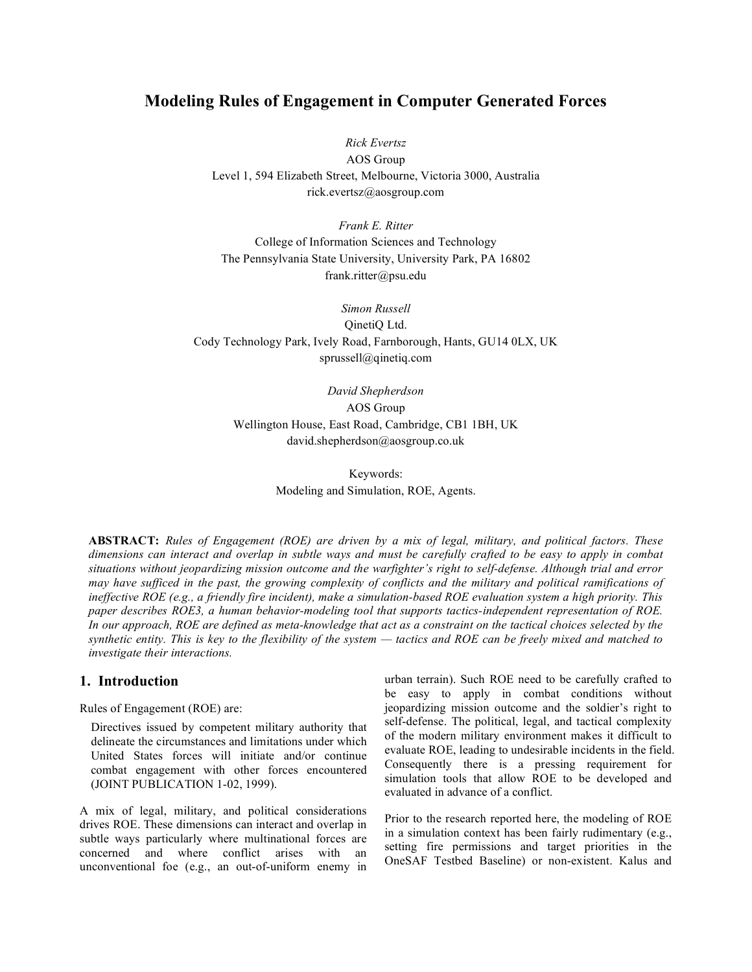# **Modeling Rules of Engagement in Computer Generated Forces**

*Rick Evertsz*

AOS Group Level 1, 594 Elizabeth Street, Melbourne, Victoria 3000, Australia rick.evertsz@aosgroup.com

*Frank E. Ritter* College of Information Sciences and Technology The Pennsylvania State University, University Park, PA 16802 frank.ritter@psu.edu

*Simon Russell* QinetiQ Ltd. Cody Technology Park, Ively Road, Farnborough, Hants, GU14 0LX, UK sprussell@qinetiq.com

> *David Shepherdson* AOS Group Wellington House, East Road, Cambridge, CB1 1BH, UK david.shepherdson@aosgroup.co.uk

> > Keywords: Modeling and Simulation, ROE, Agents.

**ABSTRACT:** *Rules of Engagement (ROE) are driven by a mix of legal, military, and political factors. These* dimensions can interact and overlap in subtle ways and must be carefully crafted to be easy to apply in combat *situations without jeopardizing mission outcome and the warfighter's right to self-defense. Although trial and error* may have sufficed in the past, the growing complexity of conflicts and the military and political ramifications of ineffective ROE (e.g., a friendly fire incident), make a simulation-based ROE evaluation system a high priority. This *paper describes ROE3, a human behavior-modeling tool that supports tactics-independent representation of ROE.* In our approach, ROE are defined as meta-knowledge that act as a constraint on the tactical choices selected by the synthetic entity. This is key to the flexibility of the system — tactics and ROE can be freely mixed and matched to *investigate their interactions.*

# **1. Introduction**

Rules of Engagement (ROE) are:

Directives issued by competent military authority that delineate the circumstances and limitations under which United States forces will initiate and/or continue combat engagement with other forces encountered (JOINT PUBLICATION 1-02, 1999).

A mix of legal, military, and political considerations drives ROE. These dimensions can interact and overlap in subtle ways particularly where multinational forces are concerned and where conflict arises with an unconventional foe (e.g., an out-of-uniform enemy in urban terrain). Such ROE need to be carefully crafted to be easy to apply in combat conditions without jeopardizing mission outcome and the soldier's right to self-defense. The political, legal, and tactical complexity of the modern military environment makes it difficult to evaluate ROE, leading to undesirable incidents in the field. Consequently there is a pressing requirement for simulation tools that allow ROE to be developed and evaluated in advance of a conflict.

Prior to the research reported here, the modeling of ROE in a simulation context has been fairly rudimentary (e.g., setting fire permissions and target priorities in the OneSAF Testbed Baseline) or non-existent. Kalus and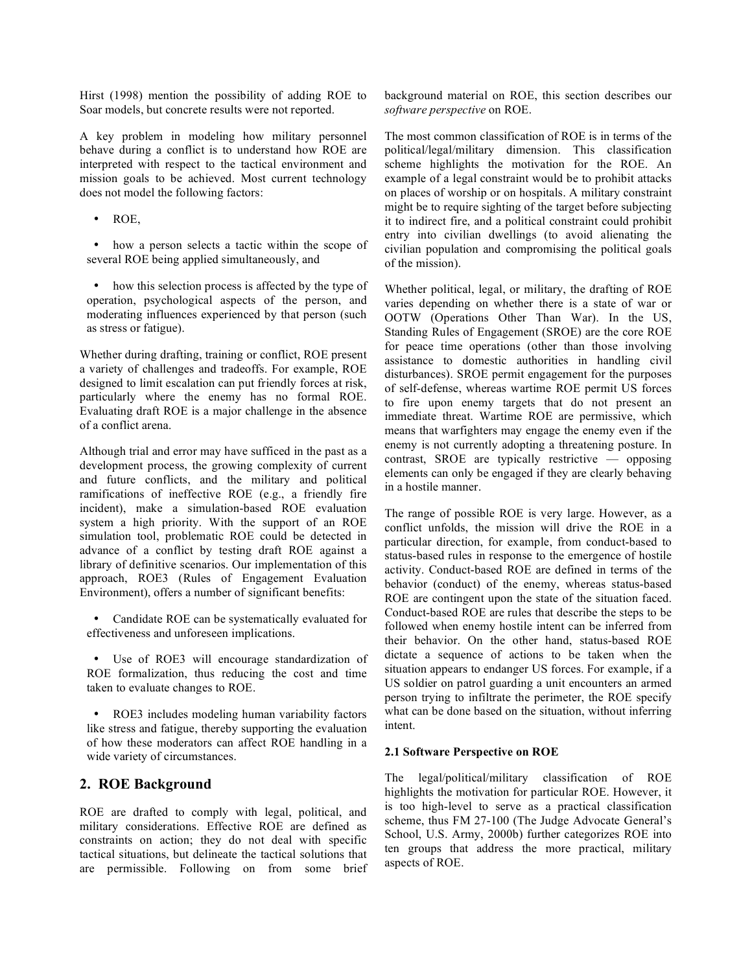Hirst (1998) mention the possibility of adding ROE to Soar models, but concrete results were not reported.

A key problem in modeling how military personnel behave during a conflict is to understand how ROE are interpreted with respect to the tactical environment and mission goals to be achieved. Most current technology does not model the following factors:

• ROE,

• how a person selects a tactic within the scope of several ROE being applied simultaneously, and

• how this selection process is affected by the type of operation, psychological aspects of the person, and moderating influences experienced by that person (such as stress or fatigue).

Whether during drafting, training or conflict, ROE present a variety of challenges and tradeoffs. For example, ROE designed to limit escalation can put friendly forces at risk, particularly where the enemy has no formal ROE. Evaluating draft ROE is a major challenge in the absence of a conflict arena.

Although trial and error may have sufficed in the past as a development process, the growing complexity of current and future conflicts, and the military and political ramifications of ineffective ROE (e.g., a friendly fire incident), make a simulation-based ROE evaluation system a high priority. With the support of an ROE simulation tool, problematic ROE could be detected in advance of a conflict by testing draft ROE against a library of definitive scenarios. Our implementation of this approach, ROE3 (Rules of Engagement Evaluation Environment), offers a number of significant benefits:

• Candidate ROE can be systematically evaluated for effectiveness and unforeseen implications.

• Use of ROE3 will encourage standardization of ROE formalization, thus reducing the cost and time taken to evaluate changes to ROE.

• ROE3 includes modeling human variability factors like stress and fatigue, thereby supporting the evaluation of how these moderators can affect ROE handling in a wide variety of circumstances.

# **2. ROE Background**

ROE are drafted to comply with legal, political, and military considerations. Effective ROE are defined as constraints on action; they do not deal with specific tactical situations, but delineate the tactical solutions that are permissible. Following on from some brief background material on ROE, this section describes our *software perspective* on ROE.

The most common classification of ROE is in terms of the political/legal/military dimension. This classification scheme highlights the motivation for the ROE. An example of a legal constraint would be to prohibit attacks on places of worship or on hospitals. A military constraint might be to require sighting of the target before subjecting it to indirect fire, and a political constraint could prohibit entry into civilian dwellings (to avoid alienating the civilian population and compromising the political goals of the mission).

Whether political, legal, or military, the drafting of ROE varies depending on whether there is a state of war or OOTW (Operations Other Than War). In the US, Standing Rules of Engagement (SROE) are the core ROE for peace time operations (other than those involving assistance to domestic authorities in handling civil disturbances). SROE permit engagement for the purposes of self-defense, whereas wartime ROE permit US forces to fire upon enemy targets that do not present an immediate threat. Wartime ROE are permissive, which means that warfighters may engage the enemy even if the enemy is not currently adopting a threatening posture. In contrast, SROE are typically restrictive — opposing elements can only be engaged if they are clearly behaving in a hostile manner.

The range of possible ROE is very large. However, as a conflict unfolds, the mission will drive the ROE in a particular direction, for example, from conduct-based to status-based rules in response to the emergence of hostile activity. Conduct-based ROE are defined in terms of the behavior (conduct) of the enemy, whereas status-based ROE are contingent upon the state of the situation faced. Conduct-based ROE are rules that describe the steps to be followed when enemy hostile intent can be inferred from their behavior. On the other hand, status-based ROE dictate a sequence of actions to be taken when the situation appears to endanger US forces. For example, if a US soldier on patrol guarding a unit encounters an armed person trying to infiltrate the perimeter, the ROE specify what can be done based on the situation, without inferring intent.

## **2.1 Software Perspective on ROE**

The legal/political/military classification of ROE highlights the motivation for particular ROE. However, it is too high-level to serve as a practical classification scheme, thus FM 27-100 (The Judge Advocate General's School, U.S. Army, 2000b) further categorizes ROE into ten groups that address the more practical, military aspects of ROE.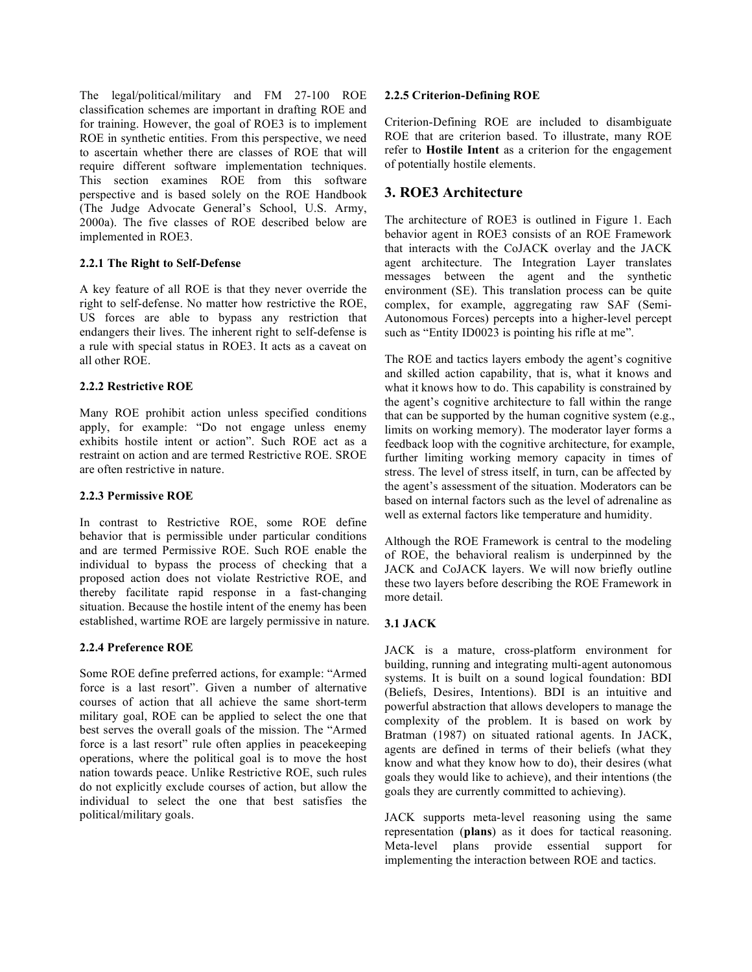The legal/political/military and FM 27-100 ROE classification schemes are important in drafting ROE and for training. However, the goal of ROE3 is to implement ROE in synthetic entities. From this perspective, we need to ascertain whether there are classes of ROE that will require different software implementation techniques. This section examines ROE from this software perspective and is based solely on the ROE Handbook (The Judge Advocate General's School, U.S. Army, 2000a). The five classes of ROE described below are implemented in ROE3.

#### **2.2.1 The Right to Self-Defense**

A key feature of all ROE is that they never override the right to self-defense. No matter how restrictive the ROE, US forces are able to bypass any restriction that endangers their lives. The inherent right to self-defense is a rule with special status in ROE3. It acts as a caveat on all other ROE.

#### **2.2.2 Restrictive ROE**

Many ROE prohibit action unless specified conditions apply, for example: "Do not engage unless enemy exhibits hostile intent or action". Such ROE act as a restraint on action and are termed Restrictive ROE. SROE are often restrictive in nature.

## **2.2.3 Permissive ROE**

In contrast to Restrictive ROE, some ROE define behavior that is permissible under particular conditions and are termed Permissive ROE. Such ROE enable the individual to bypass the process of checking that a proposed action does not violate Restrictive ROE, and thereby facilitate rapid response in a fast-changing situation. Because the hostile intent of the enemy has been established, wartime ROE are largely permissive in nature.

## **2.2.4 Preference ROE**

Some ROE define preferred actions, for example: "Armed force is a last resort". Given a number of alternative courses of action that all achieve the same short-term military goal, ROE can be applied to select the one that best serves the overall goals of the mission. The "Armed force is a last resort" rule often applies in peacekeeping operations, where the political goal is to move the host nation towards peace. Unlike Restrictive ROE, such rules do not explicitly exclude courses of action, but allow the individual to select the one that best satisfies the political/military goals.

#### **2.2.5 Criterion-Defining ROE**

Criterion-Defining ROE are included to disambiguate ROE that are criterion based. To illustrate, many ROE refer to **Hostile Intent** as a criterion for the engagement of potentially hostile elements.

# **3. ROE3 Architecture**

The architecture of ROE3 is outlined in Figure 1. Each behavior agent in ROE3 consists of an ROE Framework that interacts with the CoJACK overlay and the JACK agent architecture. The Integration Layer translates messages between the agent and the synthetic environment (SE). This translation process can be quite complex, for example, aggregating raw SAF (Semi-Autonomous Forces) percepts into a higher-level percept such as "Entity ID0023 is pointing his rifle at me".

The ROE and tactics layers embody the agent's cognitive and skilled action capability, that is, what it knows and what it knows how to do. This capability is constrained by the agent's cognitive architecture to fall within the range that can be supported by the human cognitive system (e.g., limits on working memory). The moderator layer forms a feedback loop with the cognitive architecture, for example, further limiting working memory capacity in times of stress. The level of stress itself, in turn, can be affected by the agent's assessment of the situation. Moderators can be based on internal factors such as the level of adrenaline as well as external factors like temperature and humidity.

Although the ROE Framework is central to the modeling of ROE, the behavioral realism is underpinned by the JACK and CoJACK layers. We will now briefly outline these two layers before describing the ROE Framework in more detail.

## **3.1 JACK**

JACK is a mature, cross-platform environment for building, running and integrating multi-agent autonomous systems. It is built on a sound logical foundation: BDI (Beliefs, Desires, Intentions). BDI is an intuitive and powerful abstraction that allows developers to manage the complexity of the problem. It is based on work by Bratman (1987) on situated rational agents. In JACK, agents are defined in terms of their beliefs (what they know and what they know how to do), their desires (what goals they would like to achieve), and their intentions (the goals they are currently committed to achieving).

JACK supports meta-level reasoning using the same representation (**plans**) as it does for tactical reasoning. Meta-level plans provide essential support for implementing the interaction between ROE and tactics.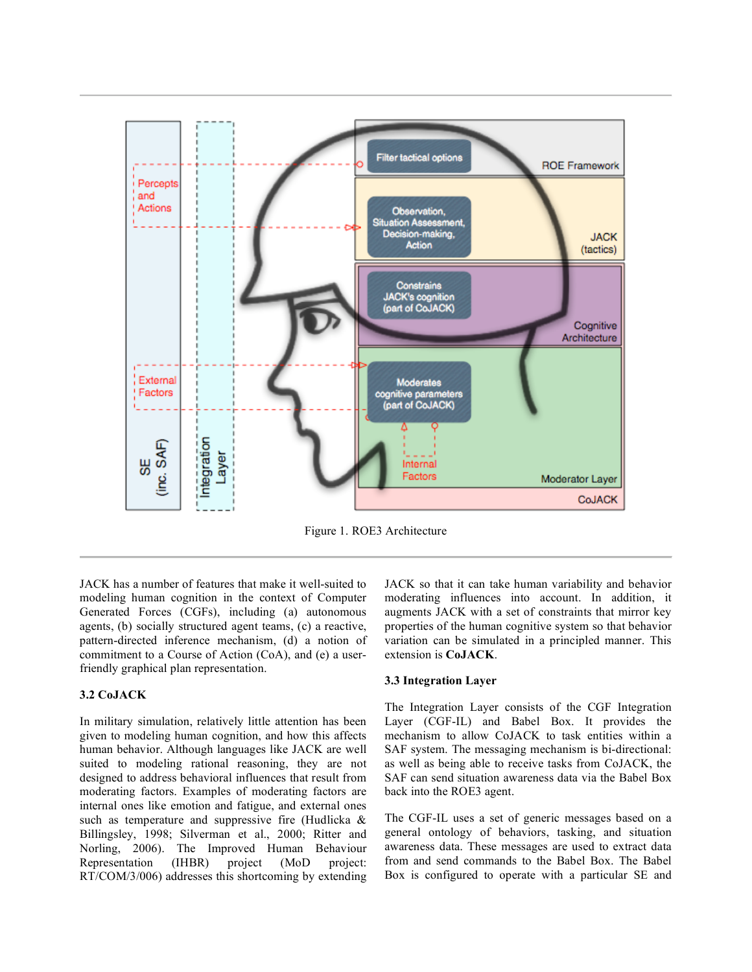

Figure 1. ROE3 Architecture

JACK has a number of features that make it well-suited to modeling human cognition in the context of Computer Generated Forces (CGFs), including (a) autonomous agents, (b) socially structured agent teams, (c) a reactive, pattern-directed inference mechanism, (d) a notion of commitment to a Course of Action (CoA), and (e) a userfriendly graphical plan representation.

#### **3.2 CoJACK**

In military simulation, relatively little attention has been given to modeling human cognition, and how this affects human behavior. Although languages like JACK are well suited to modeling rational reasoning, they are not designed to address behavioral influences that result from moderating factors. Examples of moderating factors are internal ones like emotion and fatigue, and external ones such as temperature and suppressive fire (Hudlicka & Billingsley, 1998; Silverman et al., 2000; Ritter and Norling, 2006). The Improved Human Behaviour Representation (IHBR) project (MoD project: RT/COM/3/006) addresses this shortcoming by extending

JACK so that it can take human variability and behavior moderating influences into account. In addition, it augments JACK with a set of constraints that mirror key properties of the human cognitive system so that behavior variation can be simulated in a principled manner. This extension is **CoJACK**.

#### **3.3 Integration Layer**

The Integration Layer consists of the CGF Integration Layer (CGF-IL) and Babel Box. It provides the mechanism to allow CoJACK to task entities within a SAF system. The messaging mechanism is bi-directional: as well as being able to receive tasks from CoJACK, the SAF can send situation awareness data via the Babel Box back into the ROE3 agent.

The CGF-IL uses a set of generic messages based on a general ontology of behaviors, tasking, and situation awareness data. These messages are used to extract data from and send commands to the Babel Box. The Babel Box is configured to operate with a particular SE and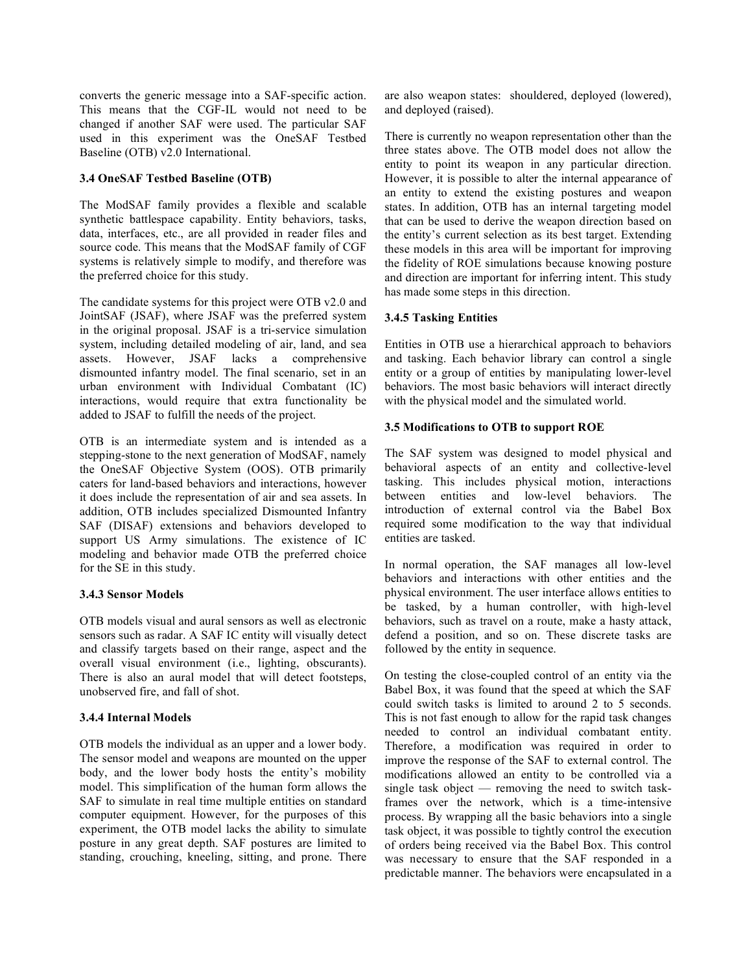converts the generic message into a SAF-specific action. This means that the CGF-IL would not need to be changed if another SAF were used. The particular SAF used in this experiment was the OneSAF Testbed Baseline (OTB) v2.0 International.

#### **3.4 OneSAF Testbed Baseline (OTB)**

The ModSAF family provides a flexible and scalable synthetic battlespace capability. Entity behaviors, tasks, data, interfaces, etc., are all provided in reader files and source code. This means that the ModSAF family of CGF systems is relatively simple to modify, and therefore was the preferred choice for this study.

The candidate systems for this project were OTB v2.0 and JointSAF (JSAF), where JSAF was the preferred system in the original proposal. JSAF is a tri-service simulation system, including detailed modeling of air, land, and sea assets. However, JSAF lacks a comprehensive dismounted infantry model. The final scenario, set in an urban environment with Individual Combatant (IC) interactions, would require that extra functionality be added to JSAF to fulfill the needs of the project.

OTB is an intermediate system and is intended as a stepping-stone to the next generation of ModSAF, namely the OneSAF Objective System (OOS). OTB primarily caters for land-based behaviors and interactions, however it does include the representation of air and sea assets. In addition, OTB includes specialized Dismounted Infantry SAF (DISAF) extensions and behaviors developed to support US Army simulations. The existence of IC modeling and behavior made OTB the preferred choice for the SE in this study.

## **3.4.3 Sensor Models**

OTB models visual and aural sensors as well as electronic sensors such as radar. A SAF IC entity will visually detect and classify targets based on their range, aspect and the overall visual environment (i.e., lighting, obscurants). There is also an aural model that will detect footsteps, unobserved fire, and fall of shot.

## **3.4.4 Internal Models**

OTB models the individual as an upper and a lower body. The sensor model and weapons are mounted on the upper body, and the lower body hosts the entity's mobility model. This simplification of the human form allows the SAF to simulate in real time multiple entities on standard computer equipment. However, for the purposes of this experiment, the OTB model lacks the ability to simulate posture in any great depth. SAF postures are limited to standing, crouching, kneeling, sitting, and prone. There

are also weapon states: shouldered, deployed (lowered), and deployed (raised).

There is currently no weapon representation other than the three states above. The OTB model does not allow the entity to point its weapon in any particular direction. However, it is possible to alter the internal appearance of an entity to extend the existing postures and weapon states. In addition, OTB has an internal targeting model that can be used to derive the weapon direction based on the entity's current selection as its best target. Extending these models in this area will be important for improving the fidelity of ROE simulations because knowing posture and direction are important for inferring intent. This study has made some steps in this direction.

## **3.4.5 Tasking Entities**

Entities in OTB use a hierarchical approach to behaviors and tasking. Each behavior library can control a single entity or a group of entities by manipulating lower-level behaviors. The most basic behaviors will interact directly with the physical model and the simulated world.

#### **3.5 Modifications to OTB to support ROE**

The SAF system was designed to model physical and behavioral aspects of an entity and collective-level tasking. This includes physical motion, interactions between entities and low-level behaviors. The introduction of external control via the Babel Box required some modification to the way that individual entities are tasked.

In normal operation, the SAF manages all low-level behaviors and interactions with other entities and the physical environment. The user interface allows entities to be tasked, by a human controller, with high-level behaviors, such as travel on a route, make a hasty attack, defend a position, and so on. These discrete tasks are followed by the entity in sequence.

On testing the close-coupled control of an entity via the Babel Box, it was found that the speed at which the SAF could switch tasks is limited to around 2 to 5 seconds. This is not fast enough to allow for the rapid task changes needed to control an individual combatant entity. Therefore, a modification was required in order to improve the response of the SAF to external control. The modifications allowed an entity to be controlled via a single task object — removing the need to switch taskframes over the network, which is a time-intensive process. By wrapping all the basic behaviors into a single task object, it was possible to tightly control the execution of orders being received via the Babel Box. This control was necessary to ensure that the SAF responded in a predictable manner. The behaviors were encapsulated in a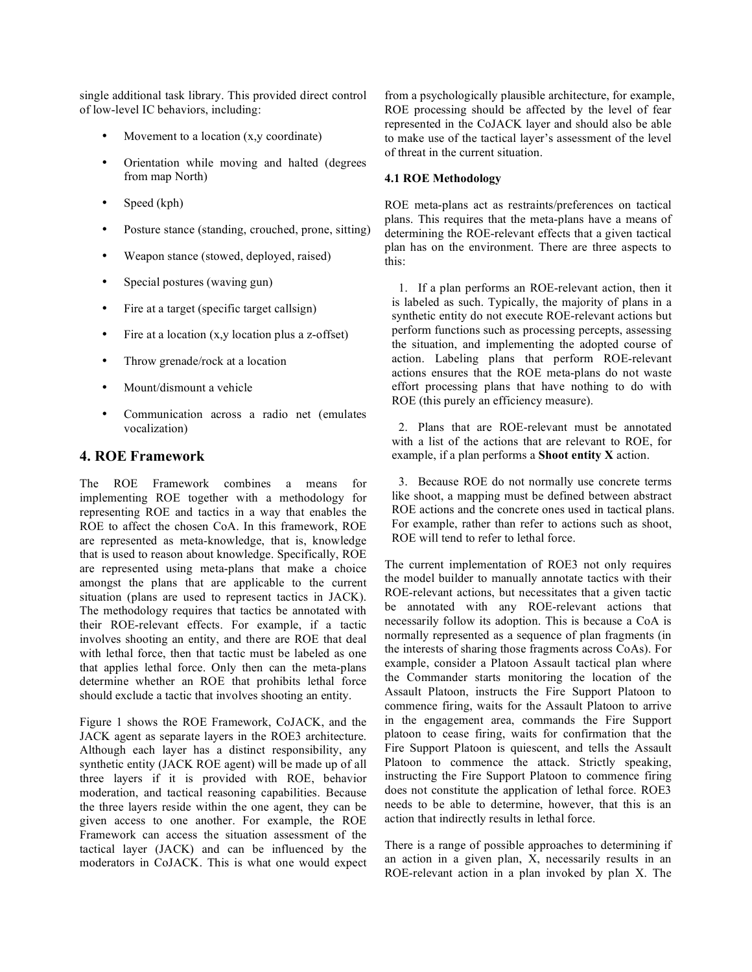single additional task library. This provided direct control of low-level IC behaviors, including:

- Movement to a location  $(x, y \text{ coordinate})$
- Orientation while moving and halted (degrees from map North)
- Speed (kph)
- Posture stance (standing, crouched, prone, sitting)
- Weapon stance (stowed, deployed, raised)
- Special postures (waving gun)
- Fire at a target (specific target callsign)
- Fire at a location (x,y location plus a z-offset)
- Throw grenade/rock at a location
- Mount/dismount a vehicle
- Communication across a radio net (emulates vocalization)

# **4. ROE Framework**

The ROE Framework combines a means for implementing ROE together with a methodology for representing ROE and tactics in a way that enables the ROE to affect the chosen CoA. In this framework, ROE are represented as meta-knowledge, that is, knowledge that is used to reason about knowledge. Specifically, ROE are represented using meta-plans that make a choice amongst the plans that are applicable to the current situation (plans are used to represent tactics in JACK). The methodology requires that tactics be annotated with their ROE-relevant effects. For example, if a tactic involves shooting an entity, and there are ROE that deal with lethal force, then that tactic must be labeled as one that applies lethal force. Only then can the meta-plans determine whether an ROE that prohibits lethal force should exclude a tactic that involves shooting an entity.

Figure 1 shows the ROE Framework, CoJACK, and the JACK agent as separate layers in the ROE3 architecture. Although each layer has a distinct responsibility, any synthetic entity (JACK ROE agent) will be made up of all three layers if it is provided with ROE, behavior moderation, and tactical reasoning capabilities. Because the three layers reside within the one agent, they can be given access to one another. For example, the ROE Framework can access the situation assessment of the tactical layer (JACK) and can be influenced by the moderators in CoJACK. This is what one would expect

from a psychologically plausible architecture, for example, ROE processing should be affected by the level of fear represented in the CoJACK layer and should also be able to make use of the tactical layer's assessment of the level of threat in the current situation.

## **4.1 ROE Methodology**

ROE meta-plans act as restraints/preferences on tactical plans. This requires that the meta-plans have a means of determining the ROE-relevant effects that a given tactical plan has on the environment. There are three aspects to this:

1. If a plan performs an ROE-relevant action, then it is labeled as such. Typically, the majority of plans in a synthetic entity do not execute ROE-relevant actions but perform functions such as processing percepts, assessing the situation, and implementing the adopted course of action. Labeling plans that perform ROE-relevant actions ensures that the ROE meta-plans do not waste effort processing plans that have nothing to do with ROE (this purely an efficiency measure).

2. Plans that are ROE-relevant must be annotated with a list of the actions that are relevant to ROE, for example, if a plan performs a **Shoot entity X** action.

3. Because ROE do not normally use concrete terms like shoot, a mapping must be defined between abstract ROE actions and the concrete ones used in tactical plans. For example, rather than refer to actions such as shoot, ROE will tend to refer to lethal force.

The current implementation of ROE3 not only requires the model builder to manually annotate tactics with their ROE-relevant actions, but necessitates that a given tactic be annotated with any ROE-relevant actions that necessarily follow its adoption. This is because a CoA is normally represented as a sequence of plan fragments (in the interests of sharing those fragments across CoAs). For example, consider a Platoon Assault tactical plan where the Commander starts monitoring the location of the Assault Platoon, instructs the Fire Support Platoon to commence firing, waits for the Assault Platoon to arrive in the engagement area, commands the Fire Support platoon to cease firing, waits for confirmation that the Fire Support Platoon is quiescent, and tells the Assault Platoon to commence the attack. Strictly speaking, instructing the Fire Support Platoon to commence firing does not constitute the application of lethal force. ROE3 needs to be able to determine, however, that this is an action that indirectly results in lethal force.

There is a range of possible approaches to determining if an action in a given plan, X, necessarily results in an ROE-relevant action in a plan invoked by plan X. The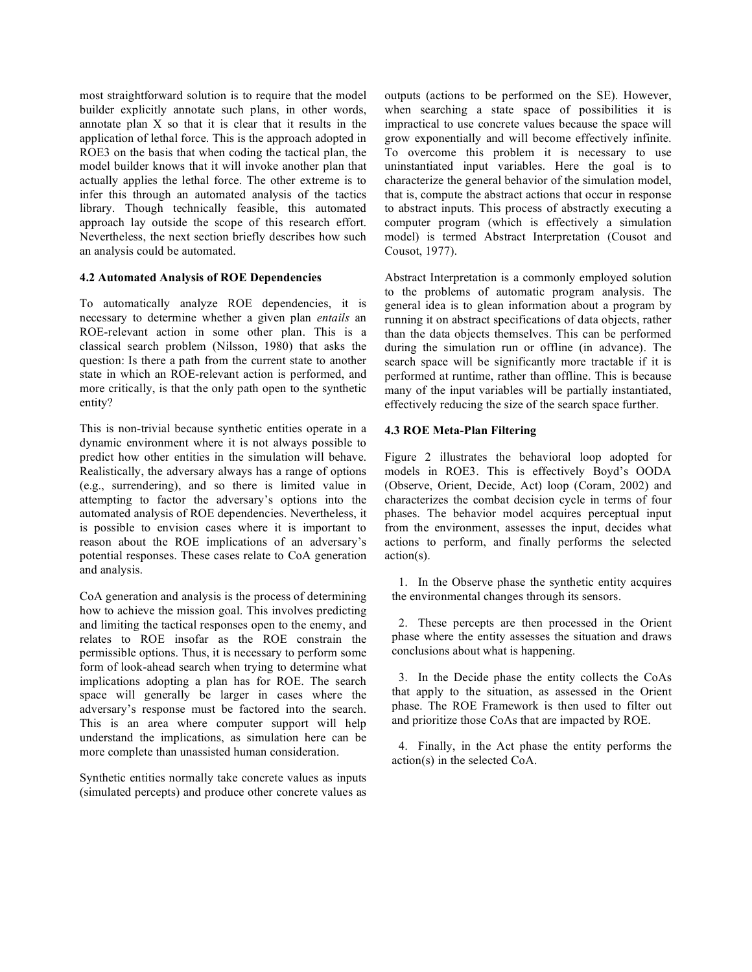most straightforward solution is to require that the model builder explicitly annotate such plans, in other words, annotate plan X so that it is clear that it results in the application of lethal force. This is the approach adopted in ROE3 on the basis that when coding the tactical plan, the model builder knows that it will invoke another plan that actually applies the lethal force. The other extreme is to infer this through an automated analysis of the tactics library. Though technically feasible, this automated approach lay outside the scope of this research effort. Nevertheless, the next section briefly describes how such an analysis could be automated.

#### **4.2 Automated Analysis of ROE Dependencies**

To automatically analyze ROE dependencies, it is necessary to determine whether a given plan *entails* an ROE-relevant action in some other plan. This is a classical search problem (Nilsson, 1980) that asks the question: Is there a path from the current state to another state in which an ROE-relevant action is performed, and more critically, is that the only path open to the synthetic entity?

This is non-trivial because synthetic entities operate in a dynamic environment where it is not always possible to predict how other entities in the simulation will behave. Realistically, the adversary always has a range of options (e.g., surrendering), and so there is limited value in attempting to factor the adversary's options into the automated analysis of ROE dependencies. Nevertheless, it is possible to envision cases where it is important to reason about the ROE implications of an adversary's potential responses. These cases relate to CoA generation and analysis.

CoA generation and analysis is the process of determining how to achieve the mission goal. This involves predicting and limiting the tactical responses open to the enemy, and relates to ROE insofar as the ROE constrain the permissible options. Thus, it is necessary to perform some form of look-ahead search when trying to determine what implications adopting a plan has for ROE. The search space will generally be larger in cases where the adversary's response must be factored into the search. This is an area where computer support will help understand the implications, as simulation here can be more complete than unassisted human consideration.

Synthetic entities normally take concrete values as inputs (simulated percepts) and produce other concrete values as outputs (actions to be performed on the SE). However, when searching a state space of possibilities it is impractical to use concrete values because the space will grow exponentially and will become effectively infinite. To overcome this problem it is necessary to use uninstantiated input variables. Here the goal is to characterize the general behavior of the simulation model, that is, compute the abstract actions that occur in response to abstract inputs. This process of abstractly executing a computer program (which is effectively a simulation model) is termed Abstract Interpretation (Cousot and Cousot, 1977).

Abstract Interpretation is a commonly employed solution to the problems of automatic program analysis. The general idea is to glean information about a program by running it on abstract specifications of data objects, rather than the data objects themselves. This can be performed during the simulation run or offline (in advance). The search space will be significantly more tractable if it is performed at runtime, rather than offline. This is because many of the input variables will be partially instantiated, effectively reducing the size of the search space further.

#### **4.3 ROE Meta-Plan Filtering**

Figure 2 illustrates the behavioral loop adopted for models in ROE3. This is effectively Boyd's OODA (Observe, Orient, Decide, Act) loop (Coram, 2002) and characterizes the combat decision cycle in terms of four phases. The behavior model acquires perceptual input from the environment, assesses the input, decides what actions to perform, and finally performs the selected action(s).

1. In the Observe phase the synthetic entity acquires the environmental changes through its sensors.

2. These percepts are then processed in the Orient phase where the entity assesses the situation and draws conclusions about what is happening.

3. In the Decide phase the entity collects the CoAs that apply to the situation, as assessed in the Orient phase. The ROE Framework is then used to filter out and prioritize those CoAs that are impacted by ROE.

4. Finally, in the Act phase the entity performs the action(s) in the selected CoA.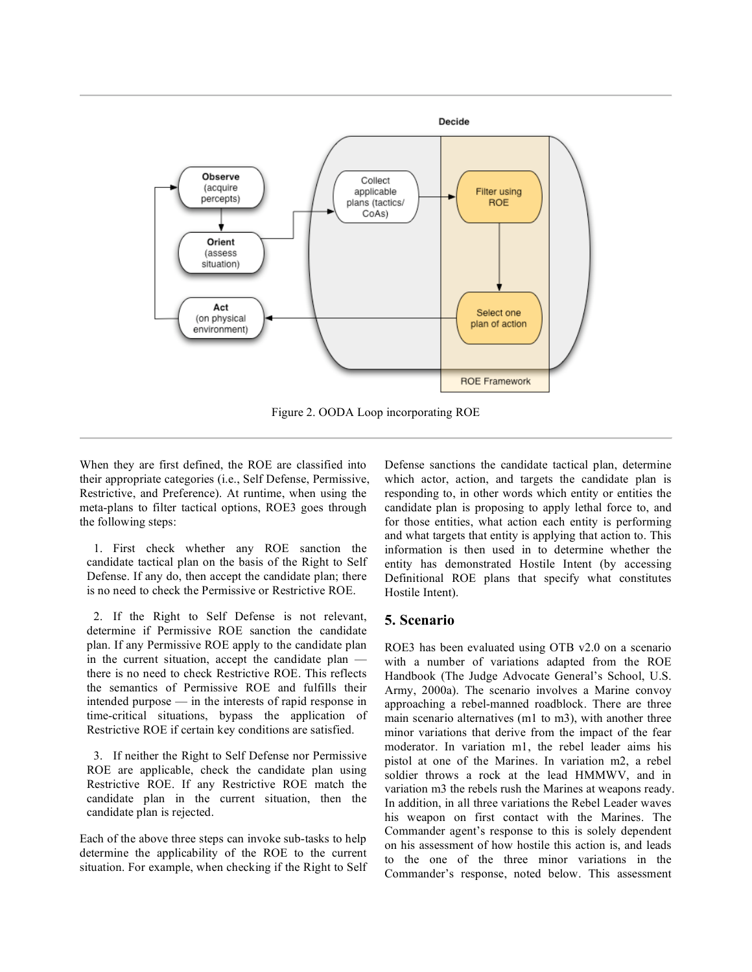

Figure 2. OODA Loop incorporating ROE

When they are first defined, the ROE are classified into their appropriate categories (i.e., Self Defense, Permissive, Restrictive, and Preference). At runtime, when using the meta-plans to filter tactical options, ROE3 goes through the following steps:

1. First check whether any ROE sanction the candidate tactical plan on the basis of the Right to Self Defense. If any do, then accept the candidate plan; there is no need to check the Permissive or Restrictive ROE.

2. If the Right to Self Defense is not relevant, determine if Permissive ROE sanction the candidate plan. If any Permissive ROE apply to the candidate plan in the current situation, accept the candidate plan there is no need to check Restrictive ROE. This reflects the semantics of Permissive ROE and fulfills their intended purpose — in the interests of rapid response in time-critical situations, bypass the application of Restrictive ROE if certain key conditions are satisfied.

3. If neither the Right to Self Defense nor Permissive ROE are applicable, check the candidate plan using Restrictive ROE. If any Restrictive ROE match the candidate plan in the current situation, then the candidate plan is rejected.

Each of the above three steps can invoke sub-tasks to help determine the applicability of the ROE to the current situation. For example, when checking if the Right to Self Defense sanctions the candidate tactical plan, determine which actor, action, and targets the candidate plan is responding to, in other words which entity or entities the candidate plan is proposing to apply lethal force to, and for those entities, what action each entity is performing and what targets that entity is applying that action to. This information is then used in to determine whether the entity has demonstrated Hostile Intent (by accessing Definitional ROE plans that specify what constitutes Hostile Intent).

# **5. Scenario**

ROE3 has been evaluated using OTB v2.0 on a scenario with a number of variations adapted from the ROE Handbook (The Judge Advocate General's School, U.S. Army, 2000a). The scenario involves a Marine convoy approaching a rebel-manned roadblock. There are three main scenario alternatives (m1 to m3), with another three minor variations that derive from the impact of the fear moderator. In variation m1, the rebel leader aims his pistol at one of the Marines. In variation m2, a rebel soldier throws a rock at the lead HMMWV, and in variation m3 the rebels rush the Marines at weapons ready. In addition, in all three variations the Rebel Leader waves his weapon on first contact with the Marines. The Commander agent's response to this is solely dependent on his assessment of how hostile this action is, and leads to the one of the three minor variations in the Commander's response, noted below. This assessment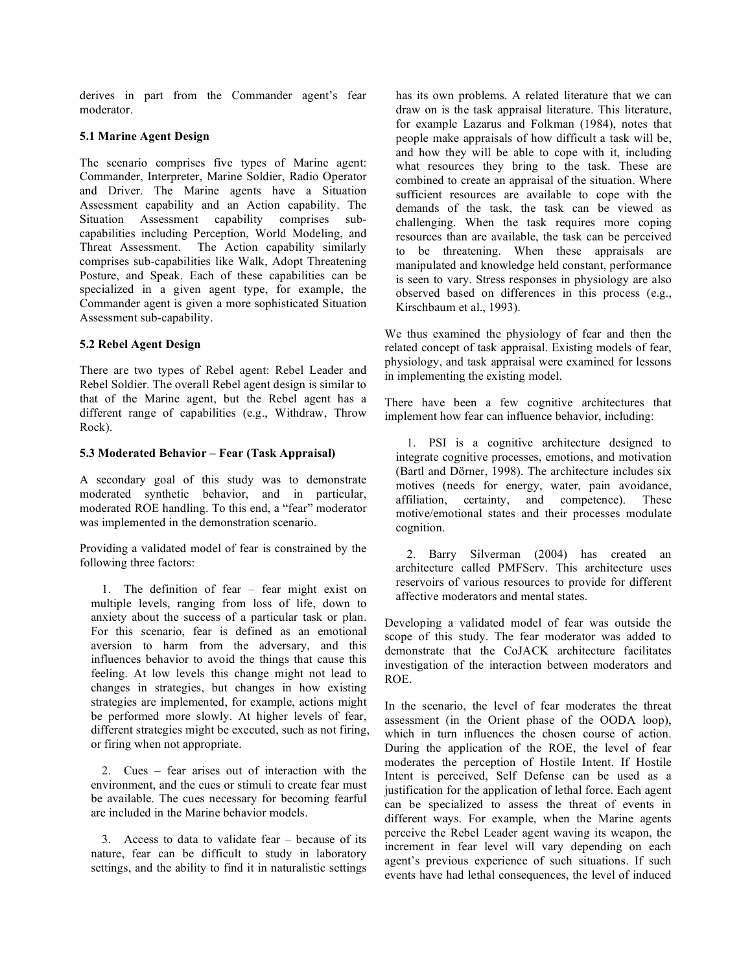derives in part from the Commander agent's fear moderator.

#### **5.1 Marine Agent Design**

The scenario comprises five types of Marine agent: Commander, Interpreter, Marine Soldier, Radio Operator and Driver. The Marine agents have a Situation Assessment capability and an Action capability. The Situation Assessment capability comprises subcapabilities including Perception, World Modeling, and Threat Assessment. The Action capability similarly comprises sub-capabilities like Walk, Adopt Threatening Posture, and Speak. Each of these capabilities can be specialized in a given agent type, for example, the Commander agent is given a more sophisticated Situation Assessment sub-capability.

#### **5.2 Rebel Agent Design**

There are two types of Rebel agent: Rebel Leader and Rebel Soldier. The overall Rebel agent design is similar to that of the Marine agent, but the Rebel agent has a different range of capabilities (e.g., Withdraw, Throw Rock).

#### **5.3 Moderated Behavior – Fear (Task Appraisal)**

A secondary goal of this study was to demonstrate moderated synthetic behavior, and in particular, moderated ROE handling. To this end, a "fear" moderator was implemented in the demonstration scenario.

Providing a validated model of fear is constrained by the following three factors:

1. The definition of fear – fear might exist on multiple levels, ranging from loss of life, down to anxiety about the success of a particular task or plan. For this scenario, fear is defined as an emotional aversion to harm from the adversary, and this influences behavior to avoid the things that cause this feeling. At low levels this change might not lead to changes in strategies, but changes in how existing strategies are implemented, for example, actions might be performed more slowly. At higher levels of fear, different strategies might be executed, such as not firing, or firing when not appropriate.

2. Cues – fear arises out of interaction with the environment, and the cues or stimuli to create fear must be available. The cues necessary for becoming fearful are included in the Marine behavior models.

3. Access to data to validate fear – because of its nature, fear can be difficult to study in laboratory settings, and the ability to find it in naturalistic settings has its own problems. A related literature that we can draw on is the task appraisal literature. This literature, for example Lazarus and Folkman (1984), notes that people make appraisals of how difficult a task will be, and how they will be able to cope with it, including what resources they bring to the task. These are combined to create an appraisal of the situation. Where sufficient resources are available to cope with the demands of the task, the task can be viewed as challenging. When the task requires more coping resources than are available, the task can be perceived to be threatening. When these appraisals are manipulated and knowledge held constant, performance is seen to vary. Stress responses in physiology are also observed based on differences in this process (e.g., Kirschbaum et al., 1993).

We thus examined the physiology of fear and then the related concept of task appraisal. Existing models of fear, physiology, and task appraisal were examined for lessons in implementing the existing model.

There have been a few cognitive architectures that implement how fear can influence behavior, including:

1. PSI is a cognitive architecture designed to integrate cognitive processes, emotions, and motivation (Bartl and Dörner, 1998). The architecture includes six motives (needs for energy, water, pain avoidance, affiliation, certainty, and competence). These motive/emotional states and their processes modulate cognition.

2. Barry Silverman (2004) has created an architecture called PMFServ. This architecture uses reservoirs of various resources to provide for different affective moderators and mental states.

Developing a validated model of fear was outside the scope of this study. The fear moderator was added to demonstrate that the CoJACK architecture facilitates investigation of the interaction between moderators and ROE.

In the scenario, the level of fear moderates the threat assessment (in the Orient phase of the OODA loop), which in turn influences the chosen course of action. During the application of the ROE, the level of fear moderates the perception of Hostile Intent. If Hostile Intent is perceived, Self Defense can be used as a justification for the application of lethal force. Each agent can be specialized to assess the threat of events in different ways. For example, when the Marine agents perceive the Rebel Leader agent waving its weapon, the increment in fear level will vary depending on each agent's previous experience of such situations. If such events have had lethal consequences, the level of induced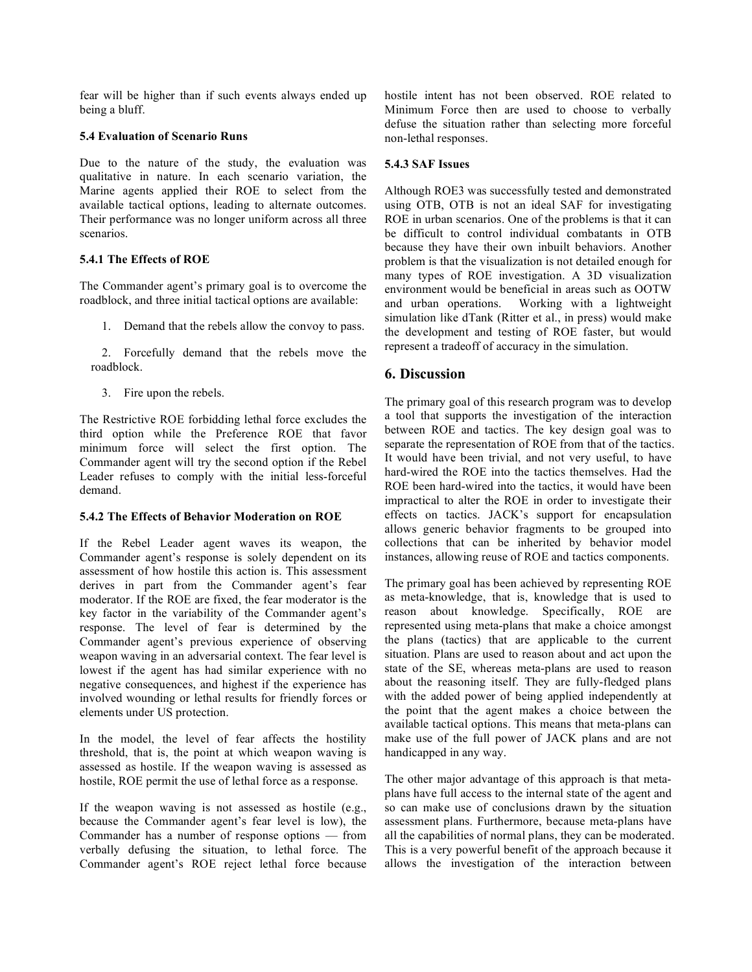fear will be higher than if such events always ended up being a bluff.

#### **5.4 Evaluation of Scenario Runs**

Due to the nature of the study, the evaluation was qualitative in nature. In each scenario variation, the Marine agents applied their ROE to select from the available tactical options, leading to alternate outcomes. Their performance was no longer uniform across all three scenarios.

## **5.4.1 The Effects of ROE**

The Commander agent's primary goal is to overcome the roadblock, and three initial tactical options are available:

1. Demand that the rebels allow the convoy to pass.

2. Forcefully demand that the rebels move the roadblock.

3. Fire upon the rebels.

The Restrictive ROE forbidding lethal force excludes the third option while the Preference ROE that favor minimum force will select the first option. The Commander agent will try the second option if the Rebel Leader refuses to comply with the initial less-forceful demand.

## **5.4.2 The Effects of Behavior Moderation on ROE**

If the Rebel Leader agent waves its weapon, the Commander agent's response is solely dependent on its assessment of how hostile this action is. This assessment derives in part from the Commander agent's fear moderator. If the ROE are fixed, the fear moderator is the key factor in the variability of the Commander agent's response. The level of fear is determined by the Commander agent's previous experience of observing weapon waving in an adversarial context. The fear level is lowest if the agent has had similar experience with no negative consequences, and highest if the experience has involved wounding or lethal results for friendly forces or elements under US protection.

In the model, the level of fear affects the hostility threshold, that is, the point at which weapon waving is assessed as hostile. If the weapon waving is assessed as hostile, ROE permit the use of lethal force as a response.

If the weapon waving is not assessed as hostile (e.g., because the Commander agent's fear level is low), the Commander has a number of response options — from verbally defusing the situation, to lethal force. The Commander agent's ROE reject lethal force because

hostile intent has not been observed. ROE related to Minimum Force then are used to choose to verbally defuse the situation rather than selecting more forceful non-lethal responses.

# **5.4.3 SAF Issues**

Although ROE3 was successfully tested and demonstrated using OTB, OTB is not an ideal SAF for investigating ROE in urban scenarios. One of the problems is that it can be difficult to control individual combatants in OTB because they have their own inbuilt behaviors. Another problem is that the visualization is not detailed enough for many types of ROE investigation. A 3D visualization environment would be beneficial in areas such as OOTW and urban operations. Working with a lightweight simulation like dTank (Ritter et al., in press) would make the development and testing of ROE faster, but would represent a tradeoff of accuracy in the simulation.

# **6. Discussion**

The primary goal of this research program was to develop a tool that supports the investigation of the interaction between ROE and tactics. The key design goal was to separate the representation of ROE from that of the tactics. It would have been trivial, and not very useful, to have hard-wired the ROE into the tactics themselves. Had the ROE been hard-wired into the tactics, it would have been impractical to alter the ROE in order to investigate their effects on tactics. JACK's support for encapsulation allows generic behavior fragments to be grouped into collections that can be inherited by behavior model instances, allowing reuse of ROE and tactics components.

The primary goal has been achieved by representing ROE as meta-knowledge, that is, knowledge that is used to reason about knowledge. Specifically, ROE are represented using meta-plans that make a choice amongst the plans (tactics) that are applicable to the current situation. Plans are used to reason about and act upon the state of the SE, whereas meta-plans are used to reason about the reasoning itself. They are fully-fledged plans with the added power of being applied independently at the point that the agent makes a choice between the available tactical options. This means that meta-plans can make use of the full power of JACK plans and are not handicapped in any way.

The other major advantage of this approach is that metaplans have full access to the internal state of the agent and so can make use of conclusions drawn by the situation assessment plans. Furthermore, because meta-plans have all the capabilities of normal plans, they can be moderated. This is a very powerful benefit of the approach because it allows the investigation of the interaction between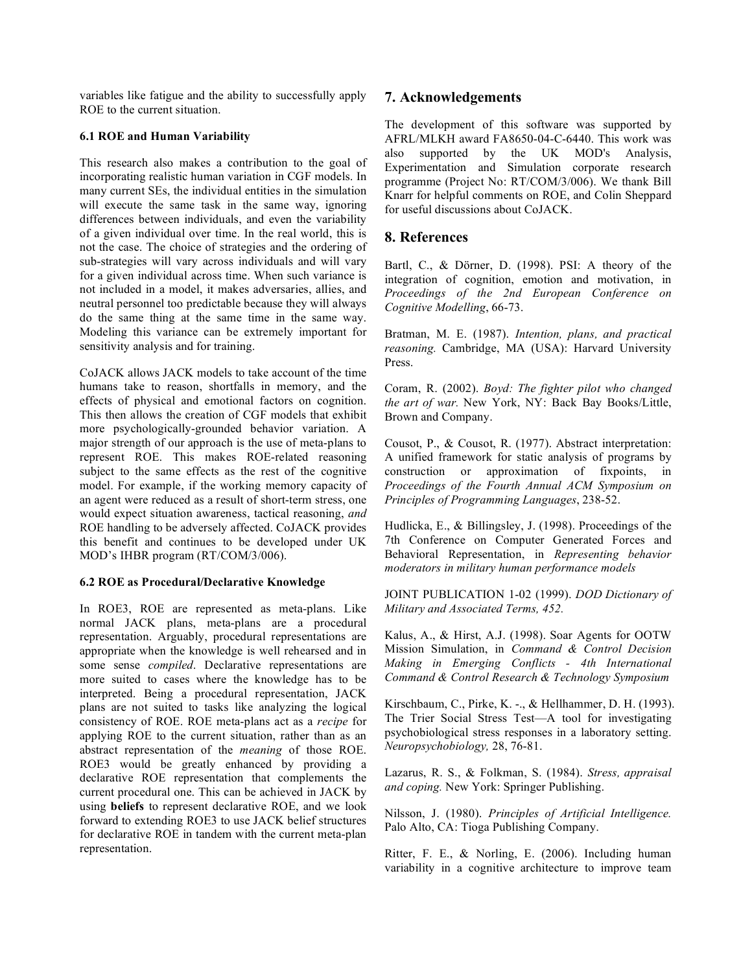variables like fatigue and the ability to successfully apply ROE to the current situation.

#### **6.1 ROE and Human Variability**

This research also makes a contribution to the goal of incorporating realistic human variation in CGF models. In many current SEs, the individual entities in the simulation will execute the same task in the same way, ignoring differences between individuals, and even the variability of a given individual over time. In the real world, this is not the case. The choice of strategies and the ordering of sub-strategies will vary across individuals and will vary for a given individual across time. When such variance is not included in a model, it makes adversaries, allies, and neutral personnel too predictable because they will always do the same thing at the same time in the same way. Modeling this variance can be extremely important for sensitivity analysis and for training.

CoJACK allows JACK models to take account of the time humans take to reason, shortfalls in memory, and the effects of physical and emotional factors on cognition. This then allows the creation of CGF models that exhibit more psychologically-grounded behavior variation. A major strength of our approach is the use of meta-plans to represent ROE. This makes ROE-related reasoning subject to the same effects as the rest of the cognitive model. For example, if the working memory capacity of an agent were reduced as a result of short-term stress, one would expect situation awareness, tactical reasoning, *and* ROE handling to be adversely affected. CoJACK provides this benefit and continues to be developed under UK MOD's IHBR program (RT/COM/3/006).

## **6.2 ROE as Procedural/Declarative Knowledge**

In ROE3, ROE are represented as meta-plans. Like normal JACK plans, meta-plans are a procedural representation. Arguably, procedural representations are appropriate when the knowledge is well rehearsed and in some sense *compiled*. Declarative representations are more suited to cases where the knowledge has to be interpreted. Being a procedural representation, JACK plans are not suited to tasks like analyzing the logical consistency of ROE. ROE meta-plans act as a *recipe* for applying ROE to the current situation, rather than as an abstract representation of the *meaning* of those ROE. ROE3 would be greatly enhanced by providing a declarative ROE representation that complements the current procedural one. This can be achieved in JACK by using **beliefs** to represent declarative ROE, and we look forward to extending ROE3 to use JACK belief structures for declarative ROE in tandem with the current meta-plan representation.

# **7. Acknowledgements**

The development of this software was supported by AFRL/MLKH award FA8650-04-C-6440. This work was also supported by the UK MOD's Analysis, Experimentation and Simulation corporate research programme (Project No: RT/COM/3/006). We thank Bill Knarr for helpful comments on ROE, and Colin Sheppard for useful discussions about CoJACK.

# **8. References**

Bartl, C., & Dörner, D. (1998). PSI: A theory of the integration of cognition, emotion and motivation, in *Proceedings of the 2nd European Conference on Cognitive Modelling*, 66-73.

Bratman, M. E. (1987). *Intention, plans, and practical reasoning.* Cambridge, MA (USA): Harvard University Press.

Coram, R. (2002). *Boyd: The fighter pilot who changed the art of war.* New York, NY: Back Bay Books/Little, Brown and Company.

Cousot, P., & Cousot, R. (1977). Abstract interpretation: A unified framework for static analysis of programs by construction or approximation of fixpoints, in *Proceedings of the Fourth Annual ACM Symposium on Principles of Programming Languages*, 238-52.

Hudlicka, E., & Billingsley, J. (1998). Proceedings of the 7th Conference on Computer Generated Forces and Behavioral Representation, in *Representing behavior moderators in military human performance models*

JOINT PUBLICATION 1-02 (1999). *DOD Dictionary of Military and Associated Terms, 452.*

Kalus, A., & Hirst, A.J. (1998). Soar Agents for OOTW Mission Simulation, in *Command & Control Decision Making in Emerging Conflicts - 4th International Command & Control Research & Technology Symposium*

Kirschbaum, C., Pirke, K. -., & Hellhammer, D. H. (1993). The Trier Social Stress Test—A tool for investigating psychobiological stress responses in a laboratory setting. *Neuropsychobiology,* 28, 76-81.

Lazarus, R. S., & Folkman, S. (1984). *Stress, appraisal and coping.* New York: Springer Publishing.

Nilsson, J. (1980). *Principles of Artificial Intelligence.* Palo Alto, CA: Tioga Publishing Company.

Ritter, F. E., & Norling, E. (2006). Including human variability in a cognitive architecture to improve team